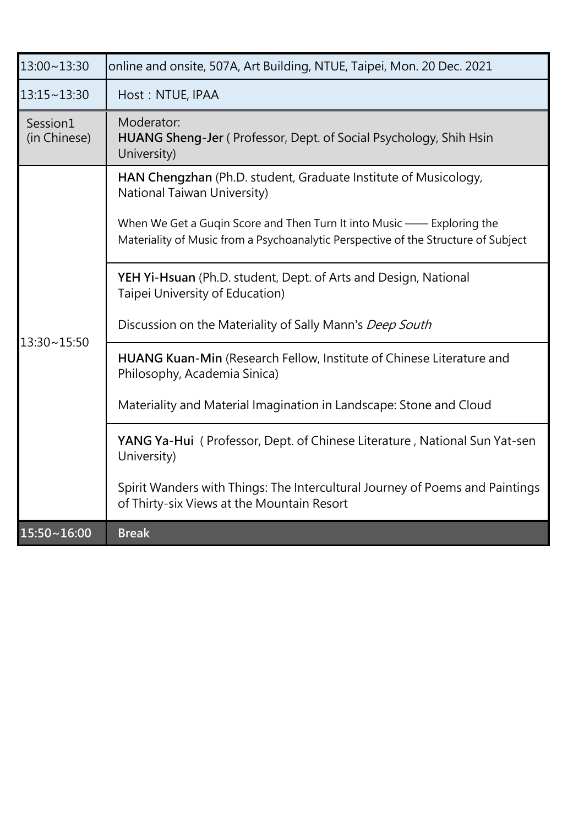| 13:00~13:30              | online and onsite, 507A, Art Building, NTUE, Taipei, Mon. 20 Dec. 2021                                                                                                                                                                                        |
|--------------------------|---------------------------------------------------------------------------------------------------------------------------------------------------------------------------------------------------------------------------------------------------------------|
| 13:15~13:30              | Host: NTUE, IPAA                                                                                                                                                                                                                                              |
| Session1<br>(in Chinese) | Moderator:<br>HUANG Sheng-Jer (Professor, Dept. of Social Psychology, Shih Hsin<br>University)                                                                                                                                                                |
|                          | HAN Chengzhan (Ph.D. student, Graduate Institute of Musicology,<br>National Taiwan University)<br>When We Get a Gugin Score and Then Turn It into Music — Exploring the<br>Materiality of Music from a Psychoanalytic Perspective of the Structure of Subject |
| 13:30~15:50              | YEH Yi-Hsuan (Ph.D. student, Dept. of Arts and Design, National<br>Taipei University of Education)<br>Discussion on the Materiality of Sally Mann's Deep South                                                                                                |
|                          | HUANG Kuan-Min (Research Fellow, Institute of Chinese Literature and<br>Philosophy, Academia Sinica)<br>Materiality and Material Imagination in Landscape: Stone and Cloud                                                                                    |
|                          | YANG Ya-Hui (Professor, Dept. of Chinese Literature, National Sun Yat-sen<br>University)                                                                                                                                                                      |
|                          | Spirit Wanders with Things: The Intercultural Journey of Poems and Paintings<br>of Thirty-six Views at the Mountain Resort                                                                                                                                    |
| 15:50~16:00              | <b>Break</b>                                                                                                                                                                                                                                                  |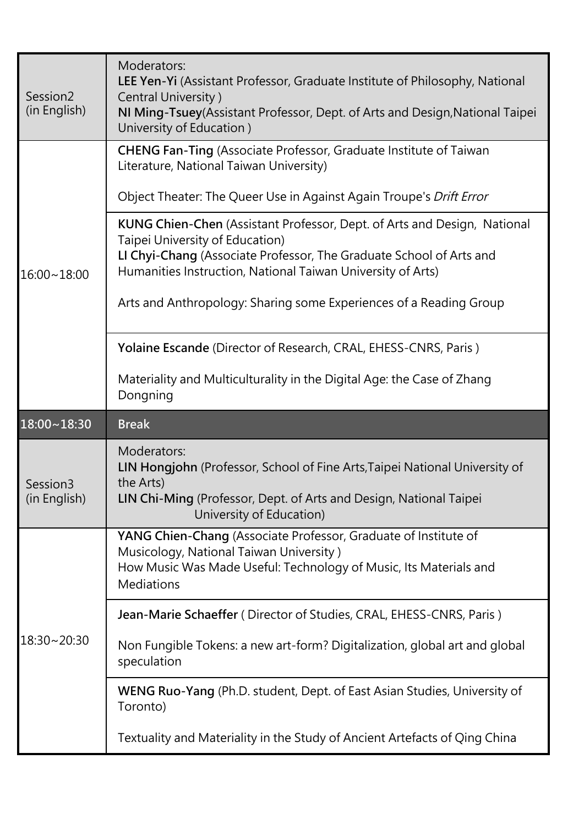| Session <sub>2</sub><br>(in English) | Moderators:<br>LEE Yen-Yi (Assistant Professor, Graduate Institute of Philosophy, National<br>Central University)<br>NI Ming-Tsuey (Assistant Professor, Dept. of Arts and Design, National Taipei<br>University of Education)                                                                                          |
|--------------------------------------|-------------------------------------------------------------------------------------------------------------------------------------------------------------------------------------------------------------------------------------------------------------------------------------------------------------------------|
| $16:00 - 18:00$                      | <b>CHENG Fan-Ting</b> (Associate Professor, Graduate Institute of Taiwan<br>Literature, National Taiwan University)<br>Object Theater: The Queer Use in Against Again Troupe's Drift Error                                                                                                                              |
|                                      | KUNG Chien-Chen (Assistant Professor, Dept. of Arts and Design, National<br>Taipei University of Education)<br>LI Chyi-Chang (Associate Professor, The Graduate School of Arts and<br>Humanities Instruction, National Taiwan University of Arts)<br>Arts and Anthropology: Sharing some Experiences of a Reading Group |
|                                      | Yolaine Escande (Director of Research, CRAL, EHESS-CNRS, Paris)<br>Materiality and Multiculturality in the Digital Age: the Case of Zhang<br>Dongning                                                                                                                                                                   |
|                                      |                                                                                                                                                                                                                                                                                                                         |
| $18:00 - 18:30$                      | <b>Break</b>                                                                                                                                                                                                                                                                                                            |
| Session <sub>3</sub><br>(in English) | Moderators:<br>LIN Hongjohn (Professor, School of Fine Arts, Taipei National University of<br>the Arts)<br>LIN Chi-Ming (Professor, Dept. of Arts and Design, National Taipei<br>University of Education)                                                                                                               |
|                                      | YANG Chien-Chang (Associate Professor, Graduate of Institute of<br>Musicology, National Taiwan University)<br>How Music Was Made Useful: Technology of Music, Its Materials and<br><b>Mediations</b>                                                                                                                    |
|                                      | Jean-Marie Schaeffer (Director of Studies, CRAL, EHESS-CNRS, Paris)                                                                                                                                                                                                                                                     |
| 18:30~20:30                          | Non Fungible Tokens: a new art-form? Digitalization, global art and global<br>speculation                                                                                                                                                                                                                               |
|                                      | WENG Ruo-Yang (Ph.D. student, Dept. of East Asian Studies, University of<br>Toronto)                                                                                                                                                                                                                                    |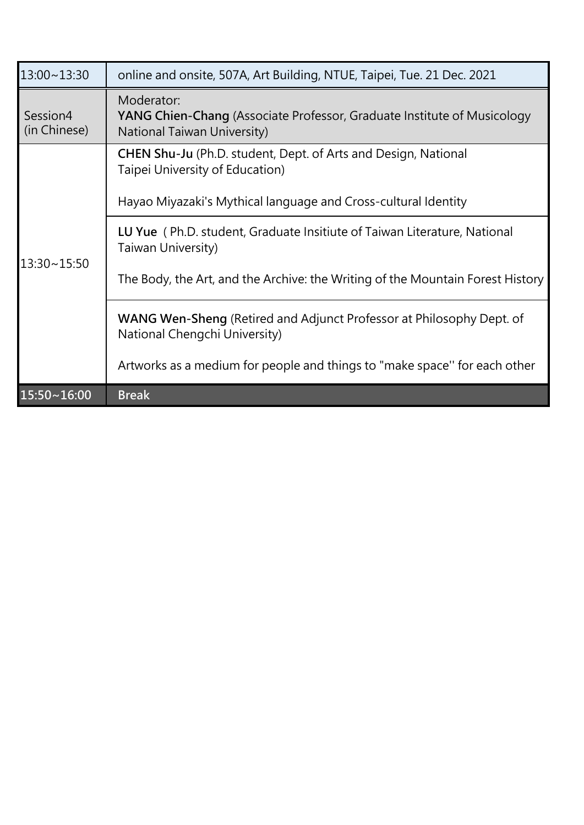| 13:00~13:30              | online and onsite, 507A, Art Building, NTUE, Taipei, Tue. 21 Dec. 2021                                                                                                     |
|--------------------------|----------------------------------------------------------------------------------------------------------------------------------------------------------------------------|
| Session4<br>(in Chinese) | Moderator:<br><b>YANG Chien-Chang</b> (Associate Professor, Graduate Institute of Musicology<br>National Taiwan University)                                                |
| 13:30~15:50              | <b>CHEN Shu-Ju</b> (Ph.D. student, Dept. of Arts and Design, National<br>Taipei University of Education)<br>Hayao Miyazaki's Mythical language and Cross-cultural Identity |
|                          | LU Yue (Ph.D. student, Graduate Insitiute of Taiwan Literature, National<br>Taiwan University)                                                                             |
|                          | The Body, the Art, and the Archive: the Writing of the Mountain Forest History                                                                                             |
|                          | <b>WANG Wen-Sheng</b> (Retired and Adjunct Professor at Philosophy Dept. of<br>National Chengchi University)                                                               |
|                          | Artworks as a medium for people and things to "make space" for each other                                                                                                  |
| $15:50 \times 16:00$     | <b>Break</b>                                                                                                                                                               |